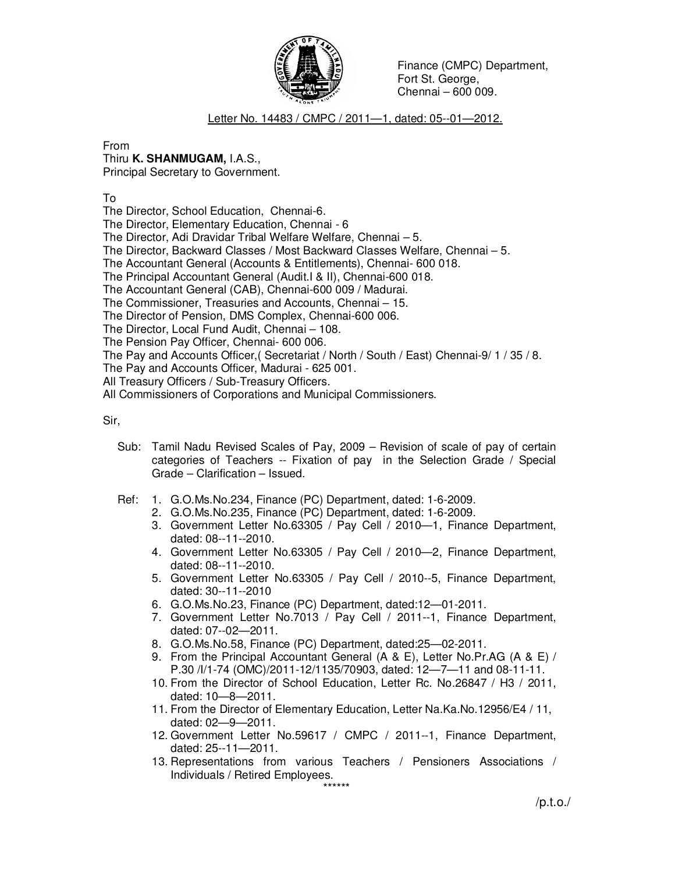

Finance (CMPC) Department, Fort St. George, Chennai – 600 009.

Letter No. 14483 / CMPC / 2011—1, dated: 05--01—2012.

From

## Thiru **K. SHANMUGAM,** I.A.S.,

Principal Secretary to Government.

To

The Director, School Education, Chennai-6.

The Director, Elementary Education, Chennai - 6

The Director, Adi Dravidar Tribal Welfare Welfare, Chennai – 5.

The Director, Backward Classes / Most Backward Classes Welfare, Chennai – 5.

The Accountant General (Accounts & Entitlements), Chennai- 600 018.

The Principal Accountant General (Audit.I & II), Chennai-600 018.

The Accountant General (CAB), Chennai-600 009 / Madurai.

The Commissioner, Treasuries and Accounts, Chennai – 15.

The Director of Pension, DMS Complex, Chennai-600 006.

The Director, Local Fund Audit, Chennai – 108.

The Pension Pay Officer, Chennai- 600 006.

The Pay and Accounts Officer,( Secretariat / North / South / East) Chennai-9/ 1 / 35 / 8.

The Pay and Accounts Officer, Madurai - 625 001.

All Treasury Officers / Sub-Treasury Officers.

All Commissioners of Corporations and Municipal Commissioners.

Sir,

- Sub: Tamil Nadu Revised Scales of Pay, 2009 Revision of scale of pay of certain categories of Teachers -- Fixation of pay in the Selection Grade / Special Grade – Clarification – Issued.
- Ref: 1. G.O.Ms.No.234, Finance (PC) Department, dated: 1-6-2009.
	- 2. G.O.Ms.No.235, Finance (PC) Department, dated: 1-6-2009.
	- 3. Government Letter No.63305 / Pay Cell / 2010—1, Finance Department, dated: 08--11--2010.
	- 4. Government Letter No.63305 / Pay Cell / 2010—2, Finance Department, dated: 08--11--2010.
	- 5. Government Letter No.63305 / Pay Cell / 2010--5, Finance Department, dated: 30--11--2010
	- 6. G.O.Ms.No.23, Finance (PC) Department, dated:12—01-2011.
	- 7. Government Letter No.7013 / Pay Cell / 2011--1, Finance Department, dated: 07--02—2011.
	- 8. G.O.Ms.No.58, Finance (PC) Department, dated:25—02-2011.
	- 9. From the Principal Accountant General (A & E), Letter No.Pr.AG (A & E) / P.30 /I/1-74 (OMC)/2011-12/1135/70903, dated: 12—7—11 and 08-11-11.
	- 10. From the Director of School Education, Letter Rc. No.26847 / H3 / 2011, dated: 10—8—2011.
	- 11. From the Director of Elementary Education, Letter Na.Ka.No.12956/E4 / 11, dated: 02—9—2011.
	- 12. Government Letter No.59617 / CMPC / 2011--1, Finance Department, dated: 25--11—2011.
	- 13. Representations from various Teachers / Pensioners Associations / Individuals / Retired Employees.

\*\*\*\*\*\*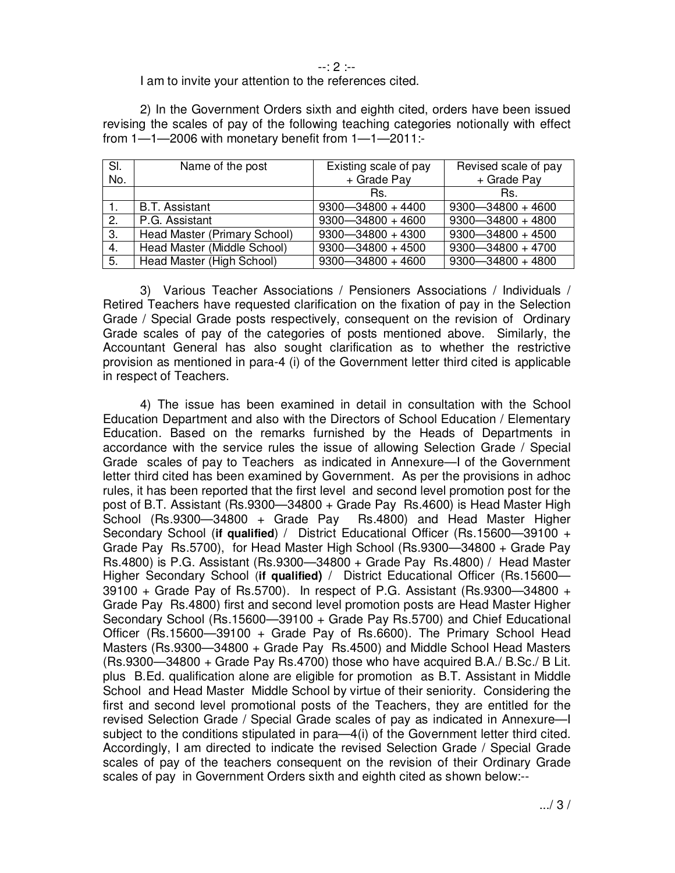--: 2 :--

## I am to invite your attention to the references cited.

 2) In the Government Orders sixth and eighth cited, orders have been issued revising the scales of pay of the following teaching categories notionally with effect from 1—1—2006 with monetary benefit from 1—1—2011:-

| SI. | Name of the post             | Existing scale of pay | Revised scale of pay  |
|-----|------------------------------|-----------------------|-----------------------|
| No. |                              | + Grade Pay           | + Grade Pay           |
|     |                              | Rs.                   | Rs.                   |
|     | <b>B.T. Assistant</b>        | $9300 - 34800 + 4400$ | $9300 - 34800 + 4600$ |
| 2.  | P.G. Assistant               | $9300 - 34800 + 4600$ | $9300 - 34800 + 4800$ |
| 3.  | Head Master (Primary School) | $9300 - 34800 + 4300$ | $9300 - 34800 + 4500$ |
| 4.  | Head Master (Middle School)  | $9300 - 34800 + 4500$ | $9300 - 34800 + 4700$ |
| 5.  | Head Master (High School)    | $9300 - 34800 + 4600$ | $9300 - 34800 + 4800$ |

 3) Various Teacher Associations / Pensioners Associations / Individuals / Retired Teachers have requested clarification on the fixation of pay in the Selection Grade / Special Grade posts respectively, consequent on the revision of Ordinary Grade scales of pay of the categories of posts mentioned above. Similarly, the Accountant General has also sought clarification as to whether the restrictive provision as mentioned in para-4 (i) of the Government letter third cited is applicable in respect of Teachers.

 4) The issue has been examined in detail in consultation with the School Education Department and also with the Directors of School Education / Elementary Education. Based on the remarks furnished by the Heads of Departments in accordance with the service rules the issue of allowing Selection Grade / Special Grade scales of pay to Teachers as indicated in Annexure—I of the Government letter third cited has been examined by Government. As per the provisions in adhoc rules, it has been reported that the first level and second level promotion post for the post of B.T. Assistant (Rs.9300—34800 + Grade Pay Rs.4600) is Head Master High School (Rs.9300—34800 + Grade Pay Rs.4800) and Head Master Higher Secondary School (**if qualified**) / District Educational Officer (Rs.15600—39100 + Grade Pay Rs.5700), for Head Master High School (Rs.9300—34800 + Grade Pay Rs.4800) is P.G. Assistant (Rs.9300—34800 + Grade Pay Rs.4800) / Head Master Higher Secondary School (**if qualified)** / District Educational Officer (Rs.15600—  $39100 +$  Grade Pay of Rs.5700). In respect of P.G. Assistant (Rs.9300–34800 + Grade Pay Rs.4800) first and second level promotion posts are Head Master Higher Secondary School (Rs.15600—39100 + Grade Pay Rs.5700) and Chief Educational Officer (Rs.15600—39100 + Grade Pay of Rs.6600). The Primary School Head Masters (Rs.9300—34800 + Grade Pay Rs.4500) and Middle School Head Masters (Rs.9300—34800 + Grade Pay Rs.4700) those who have acquired B.A./ B.Sc./ B Lit. plus B.Ed. qualification alone are eligible for promotion as B.T. Assistant in Middle School and Head Master Middle School by virtue of their seniority. Considering the first and second level promotional posts of the Teachers, they are entitled for the revised Selection Grade / Special Grade scales of pay as indicated in Annexure—I subject to the conditions stipulated in para—4(i) of the Government letter third cited. Accordingly, I am directed to indicate the revised Selection Grade / Special Grade scales of pay of the teachers consequent on the revision of their Ordinary Grade scales of pay in Government Orders sixth and eighth cited as shown below:--